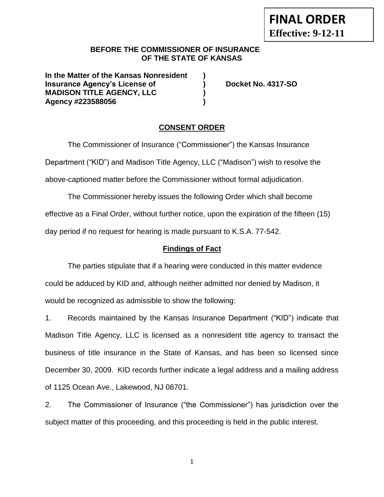### **BEFORE THE COMMISSIONER OF INSURANCE OF THE STATE OF KANSAS**

**In the Matter of the Kansas Nonresident ) Insurance Agency's License of ) Docket No. 4317-SO MADISON TITLE AGENCY, LLC ) Agency #223588056 )**

## **CONSENT ORDER**

The Commissioner of Insurance ("Commissioner") the Kansas Insurance Department ("KID") and Madison Title Agency, LLC ("Madison") wish to resolve the above-captioned matter before the Commissioner without formal adjudication.

The Commissioner hereby issues the following Order which shall become effective as a Final Order, without further notice, upon the expiration of the fifteen (15) day period if no request for hearing is made pursuant to K.S.A. 77-542.

## **Findings of Fact**

The parties stipulate that if a hearing were conducted in this matter evidence could be adduced by KID and, although neither admitted nor denied by Madison, it would be recognized as admissible to show the following:

1. Records maintained by the Kansas Insurance Department ("KID") indicate that Madison Title Agency, LLC is licensed as a nonresident title agency to transact the business of title insurance in the State of Kansas, and has been so licensed since December 30, 2009. KID records further indicate a legal address and a mailing address of 1125 Ocean Ave., Lakewood, NJ 08701.

2. The Commissioner of Insurance ("the Commissioner") has jurisdiction over the subject matter of this proceeding, and this proceeding is held in the public interest.

1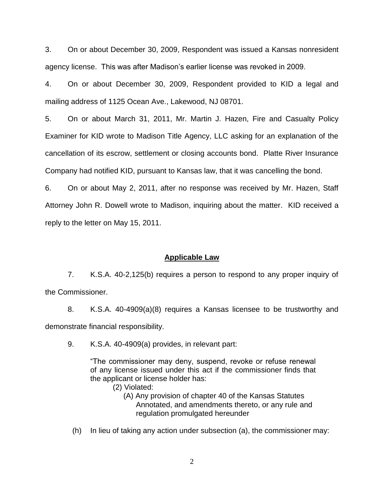3. On or about December 30, 2009, Respondent was issued a Kansas nonresident agency license. This was after Madison's earlier license was revoked in 2009.

4. On or about December 30, 2009, Respondent provided to KID a legal and mailing address of 1125 Ocean Ave., Lakewood, NJ 08701.

5. On or about March 31, 2011, Mr. Martin J. Hazen, Fire and Casualty Policy Examiner for KID wrote to Madison Title Agency, LLC asking for an explanation of the cancellation of its escrow, settlement or closing accounts bond. Platte River Insurance Company had notified KID, pursuant to Kansas law, that it was cancelling the bond.

6. On or about May 2, 2011, after no response was received by Mr. Hazen, Staff Attorney John R. Dowell wrote to Madison, inquiring about the matter. KID received a reply to the letter on May 15, 2011.

### **Applicable Law**

7. K.S.A. 40-2,125(b) requires a person to respond to any proper inquiry of the Commissioner.

8. K.S.A. 40-4909(a)(8) requires a Kansas licensee to be trustworthy and demonstrate financial responsibility.

9. K.S.A. 40-4909(a) provides, in relevant part:

"The commissioner may deny, suspend, revoke or refuse renewal of any license issued under this act if the commissioner finds that the applicant or license holder has:

- (2) Violated:
	- (A) Any provision of chapter 40 of the Kansas Statutes Annotated, and amendments thereto, or any rule and regulation promulgated hereunder
- (h) In lieu of taking any action under subsection (a), the commissioner may: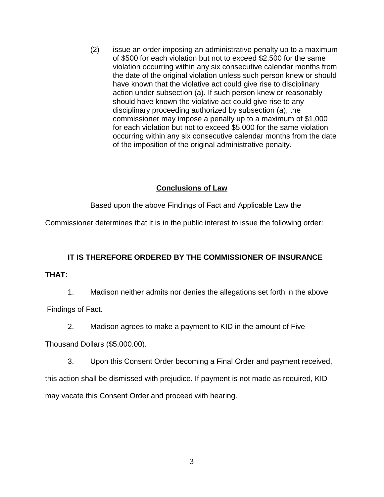(2) issue an order imposing an administrative penalty up to a maximum of \$500 for each violation but not to exceed \$2,500 for the same violation occurring within any six consecutive calendar months from the date of the original violation unless such person knew or should have known that the violative act could give rise to disciplinary action under subsection (a). If such person knew or reasonably should have known the violative act could give rise to any disciplinary proceeding authorized by subsection (a), the commissioner may impose a penalty up to a maximum of \$1,000 for each violation but not to exceed \$5,000 for the same violation occurring within any six consecutive calendar months from the date of the imposition of the original administrative penalty.

## **Conclusions of Law**

Based upon the above Findings of Fact and Applicable Law the

Commissioner determines that it is in the public interest to issue the following order:

# **IT IS THEREFORE ORDERED BY THE COMMISSIONER OF INSURANCE**

### **THAT:**

1. Madison neither admits nor denies the allegations set forth in the above

Findings of Fact.

2. Madison agrees to make a payment to KID in the amount of Five

Thousand Dollars (\$5,000.00).

3. Upon this Consent Order becoming a Final Order and payment received,

this action shall be dismissed with prejudice. If payment is not made as required, KID may vacate this Consent Order and proceed with hearing.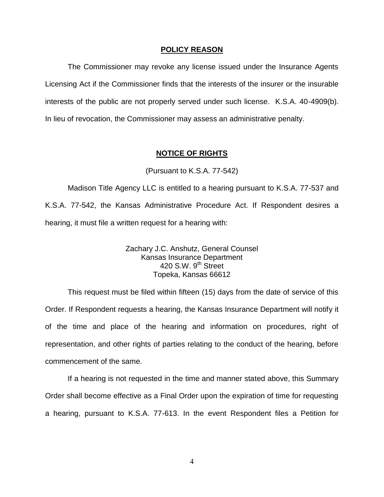#### **POLICY REASON**

The Commissioner may revoke any license issued under the Insurance Agents Licensing Act if the Commissioner finds that the interests of the insurer or the insurable interests of the public are not properly served under such license. K.S.A. 40-4909(b). In lieu of revocation, the Commissioner may assess an administrative penalty.

#### **NOTICE OF RIGHTS**

### (Pursuant to K.S.A. 77-542)

Madison Title Agency LLC is entitled to a hearing pursuant to K.S.A. 77-537 and K.S.A. 77-542, the Kansas Administrative Procedure Act. If Respondent desires a hearing, it must file a written request for a hearing with:

> Zachary J.C. Anshutz, General Counsel Kansas Insurance Department 420 S.W. 9<sup>th</sup> Street Topeka, Kansas 66612

This request must be filed within fifteen (15) days from the date of service of this Order. If Respondent requests a hearing, the Kansas Insurance Department will notify it of the time and place of the hearing and information on procedures, right of representation, and other rights of parties relating to the conduct of the hearing, before commencement of the same.

If a hearing is not requested in the time and manner stated above, this Summary Order shall become effective as a Final Order upon the expiration of time for requesting a hearing, pursuant to K.S.A. 77-613. In the event Respondent files a Petition for

4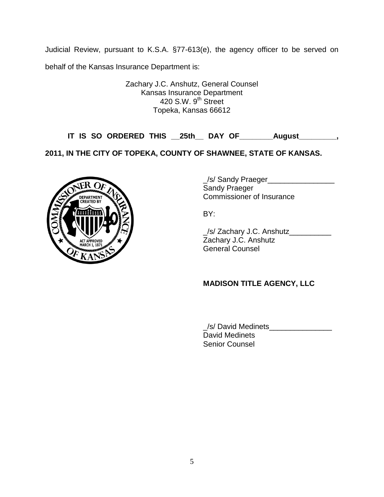Judicial Review, pursuant to K.S.A. §77-613(e), the agency officer to be served on

behalf of the Kansas Insurance Department is:

Zachary J.C. Anshutz, General Counsel Kansas Insurance Department 420 S.W. 9<sup>th</sup> Street Topeka, Kansas 66612

**IT IS SO ORDERED THIS \_\_25th\_\_ DAY OF\_\_\_\_\_\_\_\_August\_\_\_\_\_\_\_\_\_,** 

**2011, IN THE CITY OF TOPEKA, COUNTY OF SHAWNEE, STATE OF KANSAS.**



/s/ Sandy Praeger Sandy Praeger Commissioner of Insurance

BY:

\_/s/ Zachary J.C. Anshutz\_\_\_\_\_\_\_\_\_\_ Zachary J.C. Anshutz General Counsel

## **MADISON TITLE AGENCY, LLC**

\_/s/ David Medinets\_\_\_\_\_\_\_\_\_\_\_\_\_\_\_ David Medinets Senior Counsel